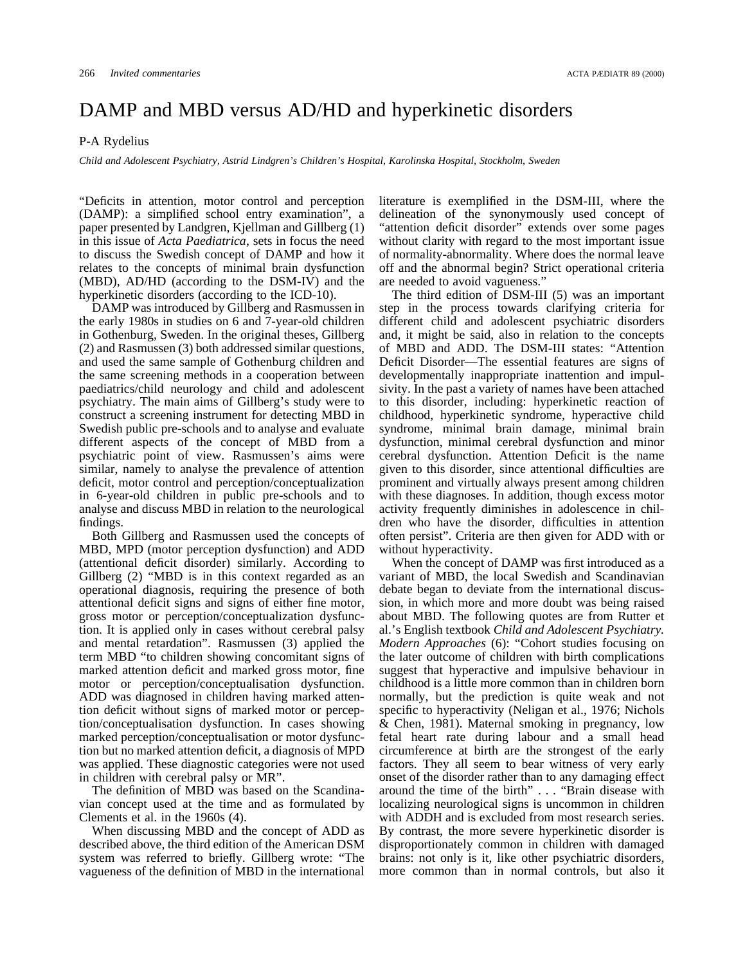## DAMP and MBD versus AD/HD and hyperkinetic disorders

P-A Rydelius

*Child and Adolescent Psychiatry, Astrid Lindgren's Children's Hospital, Karolinska Hospital, Stockholm, Sweden*

"Deficits in attention, motor control and perception (DAMP): a simplified school entry examination", a paper presented by Landgren, Kjellman and Gillberg (1) in this issue of *Acta Paediatrica*, sets in focus the need to discuss the Swedish concept of DAMP and how it relates to the concepts of minimal brain dysfunction (MBD), AD/HD (according to the DSM-IV) and the hyperkinetic disorders (according to the ICD-10).

DAMP was introduced by Gillberg and Rasmussen in the early 1980s in studies on 6 and 7-year-old children in Gothenburg, Sweden. In the original theses, Gillberg (2) and Rasmussen (3) both addressed similar questions, and used the same sample of Gothenburg children and the same screening methods in a cooperation between paediatrics/child neurology and child and adolescent psychiatry. The main aims of Gillberg's study were to construct a screening instrument for detecting MBD in Swedish public pre-schools and to analyse and evaluate different aspects of the concept of MBD from a psychiatric point of view. Rasmussen's aims were similar, namely to analyse the prevalence of attention deficit, motor control and perception/conceptualization in 6-year-old children in public pre-schools and to analyse and discuss MBD in relation to the neurological findings.

Both Gillberg and Rasmussen used the concepts of MBD, MPD (motor perception dysfunction) and ADD (attentional deficit disorder) similarly. According to Gillberg (2) "MBD is in this context regarded as an operational diagnosis, requiring the presence of both attentional deficit signs and signs of either fine motor, gross motor or perception/conceptualization dysfunction. It is applied only in cases without cerebral palsy and mental retardation". Rasmussen (3) applied the term MBD "to children showing concomitant signs of marked attention deficit and marked gross motor, fine motor or perception/conceptualisation dysfunction. ADD was diagnosed in children having marked attention deficit without signs of marked motor or perception/conceptualisation dysfunction. In cases showing marked perception/conceptualisation or motor dysfunction but no marked attention deficit, a diagnosis of MPD was applied. These diagnostic categories were not used in children with cerebral palsy or MR".

The definition of MBD was based on the Scandinavian concept used at the time and as formulated by Clements et al. in the 1960s (4).

When discussing MBD and the concept of ADD as described above, the third edition of the American DSM system was referred to briefly. Gillberg wrote: "The vagueness of the definition of MBD in the international

literature is exemplified in the DSM-III, where the delineation of the synonymously used concept of "attention deficit disorder" extends over some pages without clarity with regard to the most important issue of normality-abnormality. Where does the normal leave off and the abnormal begin? Strict operational criteria are needed to avoid vagueness."

The third edition of DSM-III (5) was an important step in the process towards clarifying criteria for different child and adolescent psychiatric disorders and, it might be said, also in relation to the concepts of MBD and ADD. The DSM-III states: "Attention Deficit Disorder—The essential features are signs of developmentally inappropriate inattention and impulsivity. In the past a variety of names have been attached to this disorder, including: hyperkinetic reaction of childhood, hyperkinetic syndrome, hyperactive child syndrome, minimal brain damage, minimal brain dysfunction, minimal cerebral dysfunction and minor cerebral dysfunction. Attention Deficit is the name given to this disorder, since attentional difficulties are prominent and virtually always present among children with these diagnoses. In addition, though excess motor activity frequently diminishes in adolescence in children who have the disorder, difficulties in attention often persist". Criteria are then given for ADD with or without hyperactivity.

When the concept of DAMP was first introduced as a variant of MBD, the local Swedish and Scandinavian debate began to deviate from the international discussion, in which more and more doubt was being raised about MBD. The following quotes are from Rutter et al.'s English textbook *Child and Adolescent Psychiatry. Modern Approaches* (6): "Cohort studies focusing on the later outcome of children with birth complications suggest that hyperactive and impulsive behaviour in childhood is a little more common than in children born normally, but the prediction is quite weak and not specific to hyperactivity (Neligan et al., 1976; Nichols & Chen, 1981). Maternal smoking in pregnancy, low fetal heart rate during labour and a small head circumference at birth are the strongest of the early factors. They all seem to bear witness of very early onset of the disorder rather than to any damaging effect around the time of the birth" . . . "Brain disease with localizing neurological signs is uncommon in children with ADDH and is excluded from most research series. By contrast, the more severe hyperkinetic disorder is disproportionately common in children with damaged brains: not only is it, like other psychiatric disorders, more common than in normal controls, but also it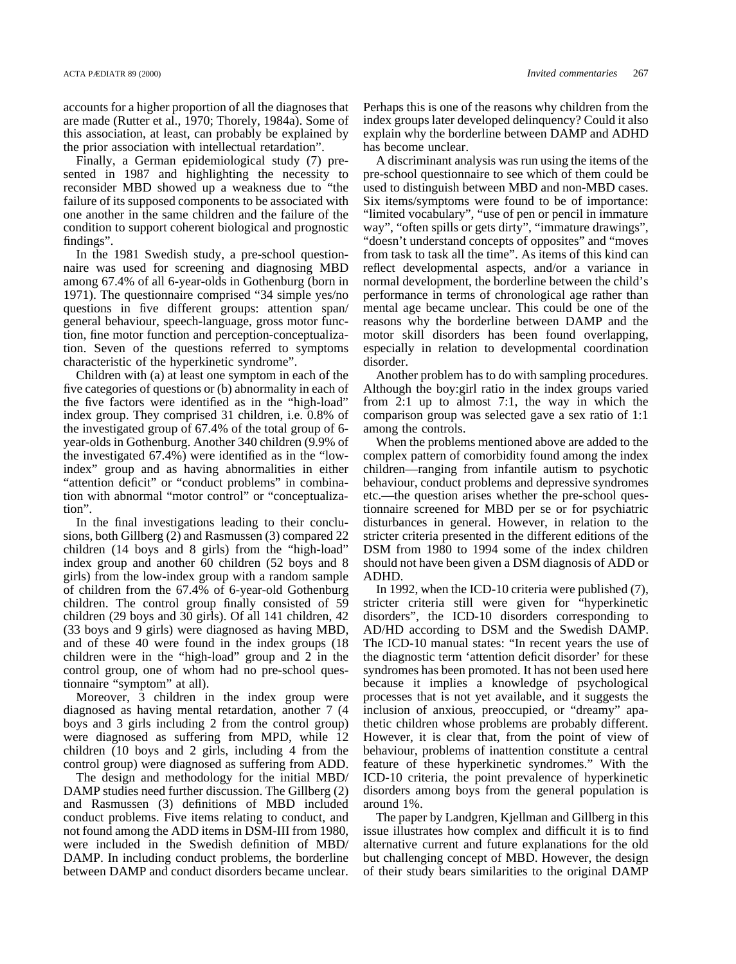accounts for a higher proportion of all the diagnoses that are made (Rutter et al., 1970; Thorely, 1984a). Some of this association, at least, can probably be explained by the prior association with intellectual retardation".

Finally, a German epidemiological study (7) presented in 1987 and highlighting the necessity to reconsider MBD showed up a weakness due to "the failure of its supposed components to be associated with one another in the same children and the failure of the condition to support coherent biological and prognostic findings".

In the 1981 Swedish study, a pre-school questionnaire was used for screening and diagnosing MBD among 67.4% of all 6-year-olds in Gothenburg (born in 1971). The questionnaire comprised "34 simple yes/no questions in five different groups: attention span/ general behaviour, speech-language, gross motor function, fine motor function and perception-conceptualization. Seven of the questions referred to symptoms characteristic of the hyperkinetic syndrome".

Children with (a) at least one symptom in each of the five categories of questions or (b) abnormality in each of the five factors were identified as in the "high-load" index group. They comprised 31 children, i.e. 0.8% of the investigated group of 67.4% of the total group of 6 year-olds in Gothenburg. Another 340 children (9.9% of the investigated 67.4%) were identified as in the "lowindex" group and as having abnormalities in either "attention deficit" or "conduct problems" in combination with abnormal "motor control" or "conceptualization".

In the final investigations leading to their conclusions, both Gillberg (2) and Rasmussen (3) compared 22 children (14 boys and 8 girls) from the "high-load" index group and another 60 children (52 boys and 8 girls) from the low-index group with a random sample of children from the 67.4% of 6-year-old Gothenburg children. The control group finally consisted of 59 children (29 boys and 30 girls). Of all 141 children, 42 (33 boys and 9 girls) were diagnosed as having MBD, and of these 40 were found in the index groups (18 children were in the "high-load" group and 2 in the control group, one of whom had no pre-school questionnaire "symptom" at all).

Moreover, 3 children in the index group were diagnosed as having mental retardation, another 7 (4 boys and 3 girls including 2 from the control group) were diagnosed as suffering from MPD, while 12 children (10 boys and 2 girls, including 4 from the control group) were diagnosed as suffering from ADD.

The design and methodology for the initial MBD/ DAMP studies need further discussion. The Gillberg (2) and Rasmussen (3) definitions of MBD included conduct problems. Five items relating to conduct, and not found among the ADD items in DSM-III from 1980, were included in the Swedish definition of MBD/ DAMP. In including conduct problems, the borderline between DAMP and conduct disorders became unclear.

Perhaps this is one of the reasons why children from the index groups later developed delinquency? Could it also explain why the borderline between DAMP and ADHD has become unclear.

A discriminant analysis was run using the items of the pre-school questionnaire to see which of them could be used to distinguish between MBD and non-MBD cases. Six items/symptoms were found to be of importance: "limited vocabulary", "use of pen or pencil in immature way", "often spills or gets dirty", "immature drawings", "doesn't understand concepts of opposites" and "moves from task to task all the time". As items of this kind can reflect developmental aspects, and/or a variance in normal development, the borderline between the child's performance in terms of chronological age rather than mental age became unclear. This could be one of the reasons why the borderline between DAMP and the motor skill disorders has been found overlapping, especially in relation to developmental coordination disorder.

Another problem has to do with sampling procedures. Although the boy:girl ratio in the index groups varied from 2:1 up to almost 7:1, the way in which the comparison group was selected gave a sex ratio of 1:1 among the controls.

When the problems mentioned above are added to the complex pattern of comorbidity found among the index children—ranging from infantile autism to psychotic behaviour, conduct problems and depressive syndromes etc.—the question arises whether the pre-school questionnaire screened for MBD per se or for psychiatric disturbances in general. However, in relation to the stricter criteria presented in the different editions of the DSM from 1980 to 1994 some of the index children should not have been given a DSM diagnosis of ADD or ADHD.

In 1992, when the ICD-10 criteria were published (7), stricter criteria still were given for "hyperkinetic disorders", the ICD-10 disorders corresponding to AD/HD according to DSM and the Swedish DAMP. The ICD-10 manual states: "In recent years the use of the diagnostic term 'attention deficit disorder' for these syndromes has been promoted. It has not been used here because it implies a knowledge of psychological processes that is not yet available, and it suggests the inclusion of anxious, preoccupied, or "dreamy" apathetic children whose problems are probably different. However, it is clear that, from the point of view of behaviour, problems of inattention constitute a central feature of these hyperkinetic syndromes." With the ICD-10 criteria, the point prevalence of hyperkinetic disorders among boys from the general population is around 1%.

The paper by Landgren, Kjellman and Gillberg in this issue illustrates how complex and difficult it is to find alternative current and future explanations for the old but challenging concept of MBD. However, the design of their study bears similarities to the original DAMP